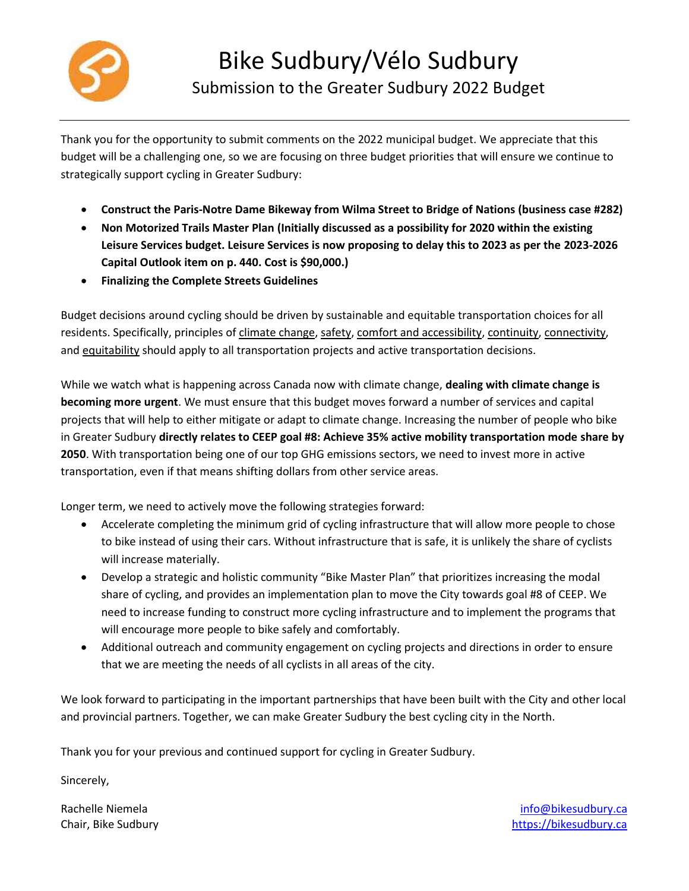

Thank you for the opportunity to submit comments on the 2022 municipal budget. We appreciate that this budget will be a challenging one, so we are focusing on three budget priorities that will ensure we continue to strategically support cycling in Greater Sudbury:

- **Construct the Paris-Notre Dame Bikeway from Wilma Street to Bridge of Nations (business case #282)**
- **Non Motorized Trails Master Plan (Initially discussed as a possibility for 2020 within the existing Leisure Services budget. Leisure Services is now proposing to delay this to 2023 as per the 2023-2026 Capital Outlook item on p. 440. Cost is \$90,000.)**
- **Finalizing the Complete Streets Guidelines**

Budget decisions around cycling should be driven by sustainable and equitable transportation choices for all residents. Specifically, principles of climate change, safety, comfort and accessibility, continuity, connectivity, and equitability should apply to all transportation projects and active transportation decisions.

While we watch what is happening across Canada now with climate change, **dealing with climate change is becoming more urgent**. We must ensure that this budget moves forward a number of services and capital projects that will help to either mitigate or adapt to climate change. Increasing the number of people who bike in Greater Sudbury **directly relates to CEEP goal #8: Achieve 35% active mobility transportation mode share by 2050**. With transportation being one of our top GHG emissions sectors, we need to invest more in active transportation, even if that means shifting dollars from other service areas.

Longer term, we need to actively move the following strategies forward:

- Accelerate completing the minimum grid of cycling infrastructure that will allow more people to chose to bike instead of using their cars. Without infrastructure that is safe, it is unlikely the share of cyclists will increase materially.
- Develop a strategic and holistic community "Bike Master Plan" that prioritizes increasing the modal share of cycling, and provides an implementation plan to move the City towards goal #8 of CEEP. We need to increase funding to construct more cycling infrastructure and to implement the programs that will encourage more people to bike safely and comfortably.
- Additional outreach and community engagement on cycling projects and directions in order to ensure that we are meeting the needs of all cyclists in all areas of the city.

We look forward to participating in the important partnerships that have been built with the City and other local and provincial partners. Together, we can make Greater Sudbury the best cycling city in the North.

Thank you for your previous and continued support for cycling in Greater Sudbury.

Sincerely,

Rachelle Niemela Chair, Bike Sudbury